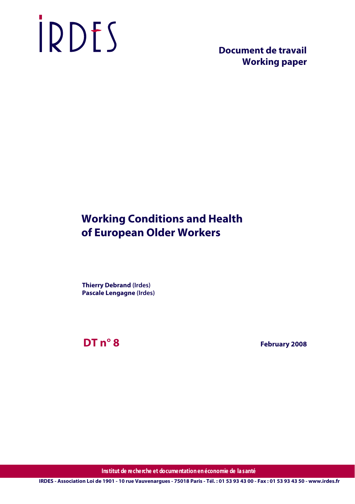# IRDES

 **Document de travail Working paper**

# **Working Conditions and Health of European Older Workers**

**Thierry Debrand (Irdes) Pascale Lengagne (Irdes)**

**DT n° 8**

 **February 2008**

**Institut de recherche et documentation en économie de la santé**

**IRDES - Association Loi de 1901 - 10 rue Vauvenargues - 75018 Paris - Tél. : 01 53 93 43 00 - Fax : 01 53 93 43 50 - www.irdes.fr**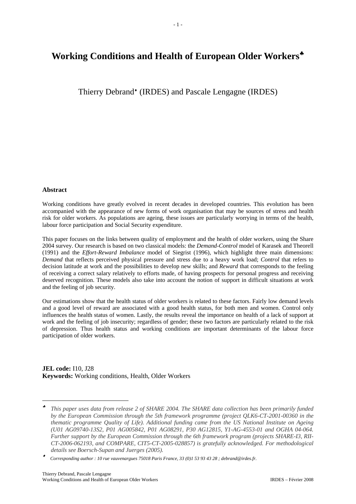# Working Conditions and Health of European Older Workers<sup>★</sup>

Thierry Debrand<sup>\*</sup> (IRDES) and Pascale Lengagne (IRDES)

# **Abstract**

1

Working conditions have greatly evolved in recent decades in developed countries. This evolution has been accompanied with the appearance of new forms of work organisation that may be sources of stress and health risk for older workers. As populations are ageing, these issues are particularly worrying in terms of the health, labour force participation and Social Security expenditure.

This paper focuses on the links between quality of employment and the health of older workers, using the Share 2004 survey. Our research is based on two classical models: the *Demand-Control* model of Karasek and Theorell (1991) and the *Effort-Reward Imbalance* model of Siegrist (1996), which highlight three main dimensions: *Demand* that reflects perceived physical pressure and stress due to a heavy work load; *Control* that refers to decision latitude at work and the possibilities to develop new skills; and *Reward* that corresponds to the feeling of receiving a correct salary relatively to efforts made, of having prospects for personal progress and receiving deserved recognition. These models also take into account the notion of support in difficult situations at work and the feeling of job security.

Our estimations show that the health status of older workers is related to these factors. Fairly low demand levels and a good level of reward are associated with a good health status, for both men and women. Control only influences the health status of women. Lastly, the results reveal the importance on health of a lack of support at work and the feeling of job insecurity; regardless of gender; these two factors are particularly related to the risk of depression. Thus health status and working conditions are important determinants of the labour force participation of older workers.

**JEL code:** I10, J28 **Keywords:** Working conditions, Health, Older Workers

<sup>♣</sup> *This paper uses data from release 2 of SHARE 2004. The SHARE data collection has been primarily funded by the European Commission through the 5th framework programme (project QLK6-CT-2001-00360 in the thematic programme Quality of Life). Additional funding came from the US National Institute on Ageing (U01 AG09740-13S2, P01 AG005842, P01 AG08291, P30 AG12815, Y1-AG-4553-01 and OGHA 04-064. Further support by the European Commission through the 6th framework program (projects SHARE-I3, RII-CT-2006-062193, and COMPARE, CIT5-CT-2005-028857) is gratefully acknowledged. For methodological details see Boersch-Supan and Juerges (2005).*

<sup>♦</sup> *Corresponding author : 10 rue vauvenargues 75018 Paris France, 33 (0)1 53 93 43 28 ; debrand@irdes.fr.*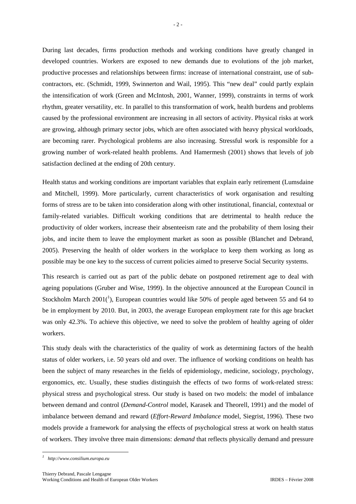During last decades, firms production methods and working conditions have greatly changed in developed countries. Workers are exposed to new demands due to evolutions of the job market, productive processes and relationships between firms: increase of international constraint, use of subcontractors, etc. (Schmidt, 1999, Swinnerton and Wail, 1995). This "new deal" could partly explain the intensification of work (Green and McIntosh, 2001, Wanner, 1999), constraints in terms of work rhythm, greater versatility, etc. In parallel to this transformation of work, health burdens and problems caused by the professional environment are increasing in all sectors of activity. Physical risks at work are growing, although primary sector jobs, which are often associated with heavy physical workloads, are becoming rarer. Psychological problems are also increasing. Stressful work is responsible for a growing number of work-related health problems. And Hamermesh (2001) shows that levels of job satisfaction declined at the ending of 20th century.

Health status and working conditions are important variables that explain early retirement (Lumsdaine and Mitchell, 1999). More particularly, current characteristics of work organisation and resulting forms of stress are to be taken into consideration along with other institutional, financial, contextual or family-related variables. Difficult working conditions that are detrimental to health reduce the productivity of older workers, increase their absenteeism rate and the probability of them losing their jobs, and incite them to leave the employment market as soon as possible (Blanchet and Debrand, 2005). Preserving the health of older workers in the workplace to keep them working as long as possible may be one key to the success of current policies aimed to preserve Social Security systems.

This research is carried out as part of the public debate on postponed retirement age to deal with ageing populations (Gruber and Wise, 1999). In the objective announced at the European Council in Stockholm March  $2001(^1)$ , European countries would like 50% of people aged between 55 and 64 to be in employment by 2010. But, in 2003, the average European employment rate for this age bracket was only 42.3%. To achieve this objective, we need to solve the problem of healthy ageing of older workers.

This study deals with the characteristics of the quality of work as determining factors of the health status of older workers, i.e. 50 years old and over. The influence of working conditions on health has been the subject of many researches in the fields of epidemiology, medicine, sociology, psychology, ergonomics, etc. Usually, these studies distinguish the effects of two forms of work-related stress: physical stress and psychological stress. Our study is based on two models: the model of imbalance between demand and control (*Demand-Control* model, Karasek and Theorell, 1991) and the model of imbalance between demand and reward (*Effort-Reward Imbalance* model, Siegrist, 1996). These two models provide a framework for analysing the effects of psychological stress at work on health status of workers. They involve three main dimensions: *demand* that reflects physically demand and pressure

1

*<sup>1</sup> http://www.consilium.europa.eu*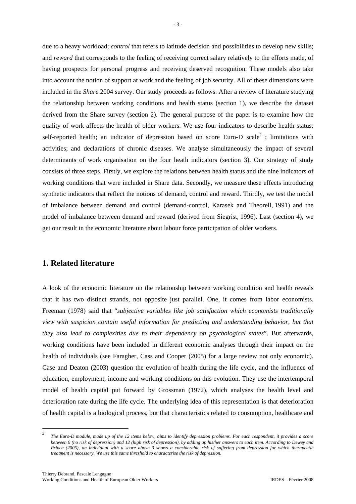due to a heavy workload; *control* that refers to latitude decision and possibilities to develop new skills; and *reward* that corresponds to the feeling of receiving correct salary relatively to the efforts made, of having prospects for personal progress and receiving deserved recognition. These models also take into account the notion of support at work and the feeling of job security. All of these dimensions were included in the *Share* 2004 survey. Our study proceeds as follows. After a review of literature studying the relationship between working conditions and health status (section 1), we describe the dataset derived from the Share survey (section 2). The general purpose of the paper is to examine how the quality of work affects the health of older workers. We use four indicators to describe health status: self-reported health; an indicator of depression based on score Euro-D scale<sup>2</sup>; limitations with activities; and declarations of chronic diseases. We analyse simultaneously the impact of several determinants of work organisation on the four heath indicators (section 3). Our strategy of study consists of three steps. Firstly, we explore the relations between health status and the nine indicators of working conditions that were included in Share data. Secondly, we measure these effects introducing synthetic indicators that reflect the notions of demand, control and reward. Thirdly, we test the model of imbalance between demand and control (demand-control, Karasek and Theorell, 1991) and the model of imbalance between demand and reward (derived from Siegrist, 1996). Last (section 4), we get our result in the economic literature about labour force participation of older workers.

# **1. Related literature**

A look of the economic literature on the relationship between working condition and health reveals that it has two distinct strands, not opposite just parallel. One, it comes from labor economists. Freeman (1978) said that "*subjective variables like job satisfaction which economists traditionally view with suspicion contain useful information for predicting and understanding behavior, but that they also lead to complexities due to their dependency on psychological states*". But afterwards, working conditions have been included in different economic analyses through their impact on the health of individuals (see Faragher, Cass and Cooper (2005) for a large review not only economic). Case and Deaton (2003) question the evolution of health during the life cycle, and the influence of education, employment, income and working conditions on this evolution. They use the intertemporal model of health capital put forward by Grossman (1972), which analyses the health level and deterioration rate during the life cycle. The underlying idea of this representation is that deterioration of health capital is a biological process, but that characteristics related to consumption, healthcare and

1

*<sup>2</sup> The Euro-D module, made up of the 12 items below, aims to identify depression problems. For each respondent, it provides a score between 0 (no risk of depression) and 12 (high risk of depression), by adding up his/her answers to each item. According to Dewey and Prince (2005), an individual with a score above 3 shows a considerable risk of suffering from depression for which therapeutic treatment is necessary. We use this same threshold to characterise the risk of depression.*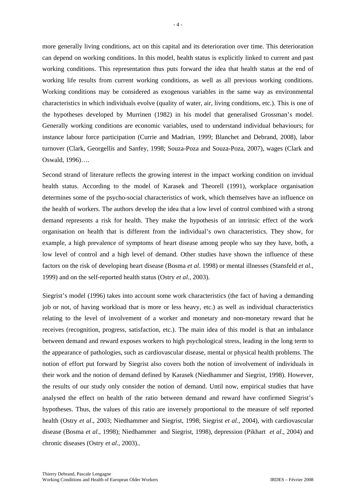more generally living conditions, act on this capital and its deterioration over time. This deterioration can depend on working conditions. In this model, health status is explicitly linked to current and past working conditions. This representation thus puts forward the idea that health status at the end of working life results from current working conditions, as well as all previous working conditions. Working conditions may be considered as exogenous variables in the same way as environmental characteristics in which individuals evolve (quality of water, air, living conditions, etc.). This is one of the hypotheses developed by Murrinen (1982) in his model that generalised Grossman's model. Generally working conditions are economic variables, used to understand individual behaviours; for instance labour force participation (Currie and Madrian, 1999; Blanchet and Debrand, 2008), labor turnover (Clark, Georgellis and Sanfey, 1998; Souza-Poza and Souza-Poza, 2007), wages (Clark and Oswald, 1996)….

Second strand of literature reflects the growing interest in the impact working condition on invidual health status. According to the model of Karasek and Theorell (1991), workplace organisation determines some of the psycho-social characteristics of work, which themselves have an influence on the health of workers. The authors develop the idea that a low level of control combined with a strong demand represents a risk for health. They make the hypothesis of an intrinsic effect of the work organisation on health that is different from the individual's own characteristics. They show, for example, a high prevalence of symptoms of heart disease among people who say they have, both, a low level of control and a high level of demand. Other studies have shown the influence of these factors on the risk of developing heart disease (Bosma *et al*. 1998) or mental illnesses (Stansfeld *et al.,* 1999) and on the self-reported health status (Ostry *et al.*, 2003).

Siegrist's model (1996) takes into account some work characteristics (the fact of having a demanding job or not, of having workload that is more or less heavy, etc.) as well as individual characteristics relating to the level of involvement of a worker and monetary and non-monetary reward that he receives (recognition, progress, satisfaction, etc.). The main idea of this model is that an imbalance between demand and reward exposes workers to high psychological stress, leading in the long term to the appearance of pathologies, such as cardiovascular disease, mental or physical health problems. The notion of effort put forward by Siegrist also covers both the notion of involvement of individuals in their work and the notion of demand defined by Karasek (Niedhammer and Siegrist, 1998). However, the results of our study only consider the notion of demand. Until now, empirical studies that have analysed the effect on health of the ratio between demand and reward have confirmed Siegrist's hypotheses. Thus, the values of this ratio are inversely proportional to the measure of self reported health (Ostry *et al*., 2003; Niedhammer and Siegrist, 1998; Siegrist *et al.*, 2004), with cardiovascular disease (Bosma *et al.*, 1998); Niedhammer and Siegrist, 1998), depression (Pikhart *et al.*, 2004) and chronic diseases (Ostry *et al*., 2003)..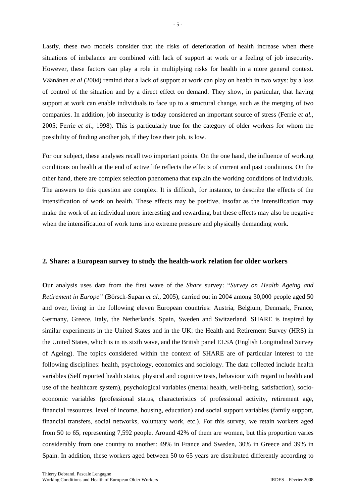Lastly, these two models consider that the risks of deterioration of health increase when these situations of imbalance are combined with lack of support at work or a feeling of job insecurity. However, these factors can play a role in multiplying risks for health in a more general context. Väänänen *et al* (2004) remind that a lack of support at work can play on health in two ways: by a loss of control of the situation and by a direct effect on demand. They show, in particular, that having support at work can enable individuals to face up to a structural change, such as the merging of two companies. In addition, job insecurity is today considered an important source of stress (Ferrie *et al.*, 2005; Ferrie *et al.*, 1998). This is particularly true for the category of older workers for whom the possibility of finding another job, if they lose their job, is low.

For our subject, these analyses recall two important points. On the one hand, the influence of working conditions on health at the end of active life reflects the effects of current and past conditions. On the other hand, there are complex selection phenomena that explain the working conditions of individuals. The answers to this question are complex. It is difficult, for instance, to describe the effects of the intensification of work on health. These effects may be positive, insofar as the intensification may make the work of an individual more interesting and rewarding, but these effects may also be negative when the intensification of work turns into extreme pressure and physically demanding work.

#### **2. Share: a European survey to study the health-work relation for older workers**

**O**ur analysis uses data from the first wave of the *Share* survey: "*Survey on Health Ageing and Retirement in Europe"* (Börsch-Supan *et al.*, 2005), carried out in 2004 among 30,000 people aged 50 and over, living in the following eleven European countries: Austria, Belgium, Denmark, France, Germany, Greece, Italy, the Netherlands, Spain, Sweden and Switzerland. SHARE is inspired by similar experiments in the United States and in the UK: the Health and Retirement Survey (HRS) in the United States, which is in its sixth wave, and the British panel ELSA (English Longitudinal Survey of Ageing). The topics considered within the context of SHARE are of particular interest to the following disciplines: health, psychology, economics and sociology. The data collected include health variables (Self reported health status, physical and cognitive tests, behaviour with regard to health and use of the healthcare system), psychological variables (mental health, well-being, satisfaction), socioeconomic variables (professional status, characteristics of professional activity, retirement age, financial resources, level of income, housing, education) and social support variables (family support, financial transfers, social networks, voluntary work, etc.). For this survey, we retain workers aged from 50 to 65, representing 7,592 people. Around 42% of them are women, but this proportion varies considerably from one country to another: 49% in France and Sweden, 30% in Greece and 39% in Spain. In addition, these workers aged between 50 to 65 years are distributed differently according to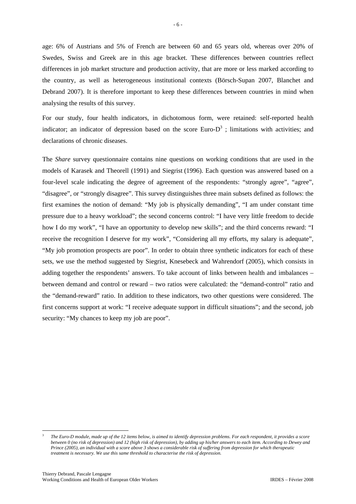age: 6% of Austrians and 5% of French are between 60 and 65 years old, whereas over 20% of Swedes, Swiss and Greek are in this age bracket. These differences between countries reflect differences in job market structure and production activity, that are more or less marked according to the country, as well as heterogeneous institutional contexts (Börsch-Supan 2007, Blanchet and Debrand 2007). It is therefore important to keep these differences between countries in mind when analysing the results of this survey.

For our study, four health indicators, in dichotomous form, were retained: self-reported health indicator; an indicator of depression based on the score Euro- $D<sup>3</sup>$ ; limitations with activities; and declarations of chronic diseases.

The *Share* survey questionnaire contains nine questions on working conditions that are used in the models of Karasek and Theorell (1991) and Siegrist (1996). Each question was answered based on a four-level scale indicating the degree of agreement of the respondents: "strongly agree", "agree", "disagree", or "strongly disagree". This survey distinguishes three main subsets defined as follows: the first examines the notion of demand: "My job is physically demanding", "I am under constant time pressure due to a heavy workload"; the second concerns control: "I have very little freedom to decide how I do my work", "I have an opportunity to develop new skills"; and the third concerns reward: "I receive the recognition I deserve for my work", "Considering all my efforts, my salary is adequate", "My job promotion prospects are poor". In order to obtain three synthetic indicators for each of these sets, we use the method suggested by Siegrist, Knesebeck and Wahrendorf (2005), which consists in adding together the respondents' answers. To take account of links between health and imbalances – between demand and control or reward – two ratios were calculated: the "demand-control" ratio and the "demand-reward" ratio. In addition to these indicators, two other questions were considered. The first concerns support at work: "I receive adequate support in difficult situations"; and the second, job security: "My chances to keep my job are poor".

1

<sup>3</sup>  *The Euro-D module, made up of the 12 items below, is aimed to identify depression problems. For each respondent, it provides a score between 0 (no risk of depression) and 12 (high risk of depression), by adding up his/her answers to each item. According to Dewey and Prince (2005), an individual with a score above 3 shows a considerable risk of suffering from depression for which therapeutic treatment is necessary. We use this same threshold to characterise the risk of depression.*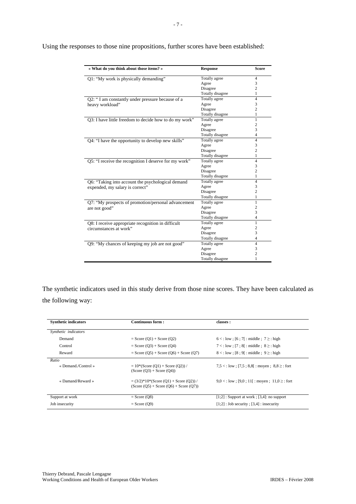| « What do you think about those items? »               | <b>Response</b>  | <b>Score</b>   |
|--------------------------------------------------------|------------------|----------------|
| Q1: "My work is physically demanding"                  | Totally agree    | 4              |
|                                                        | Agree            | 3              |
|                                                        | Disagree         | $\overline{c}$ |
|                                                        | Totally disagree | 1              |
| Q2: "I am constantly under pressure because of a       | Totally agree    | $\overline{4}$ |
| heavy workload"                                        | Agree            | 3              |
|                                                        | Disagree         | $\overline{c}$ |
|                                                        | Totally disagree | 1              |
| Q3: I have little freedom to decide how to do my work" | Totally agree    | 1              |
|                                                        | Agree            | $\overline{c}$ |
|                                                        | Disagree         | 3              |
|                                                        | Totally disagree | $\overline{4}$ |
| Q4: "I have the opportunity to develop new skills"     | Totally agree    | $\overline{4}$ |
|                                                        | Agree            | 3              |
|                                                        | Disagree         | $\overline{c}$ |
|                                                        | Totally disagree | 1              |
| Q5: "I receive the recognition I deserve for my work"  | Totally agree    | $\overline{4}$ |
|                                                        | Agree            | 3              |
|                                                        | Disagree         | $\overline{c}$ |
|                                                        | Totally disagree | 1              |
| Q6: "Taking into account the psychological demand      | Totally agree    | $\overline{4}$ |
| expended, my salary is correct"                        | Agree            | 3              |
|                                                        | Disagree         | $\overline{c}$ |
|                                                        | Totally disagree | 1              |
| Q7: "My prospects of promotion/personal advancement    | Totally agree    | 1              |
| are not good"                                          | Agree            | $\overline{c}$ |
|                                                        | Disagree         | 3              |
|                                                        | Totally disagree | $\overline{4}$ |
| Q8: I receive appropriate recognition in difficult     | Totally agree    | 1              |
| circumstances at work"                                 | Agree            | $\overline{c}$ |
|                                                        | Disagree         | 3              |
|                                                        | Totally disagree | $\overline{4}$ |
| Q9: "My chances of keeping my job are not good"        | Totally agree    | $\overline{4}$ |
|                                                        | Agree            | 3              |
|                                                        | Disagree         | $\overline{c}$ |
|                                                        | Totally disagree | 1              |

Using the responses to those nine propositions, further scores have been established:

The synthetic indicators used in this study derive from those nine scores. They have been calculated as the following way:

| <b>Synthetic indicators</b> | Continuous form:                                                                     | classes :                                                                                                                                                                                                                       |
|-----------------------------|--------------------------------------------------------------------------------------|---------------------------------------------------------------------------------------------------------------------------------------------------------------------------------------------------------------------------------|
| Synthetic indicators        |                                                                                      |                                                                                                                                                                                                                                 |
| Demand                      | $=$ Score (Q1) + Score (O2)                                                          | $6 < :$ low : $[6 : 7] :$ middle : $7 \ge :$ high                                                                                                                                                                               |
| Control                     | $=$ Score (O3) + Score (O4)                                                          | $7 < :$ low : [7 : 8] : middle : $8 \ge :$ high                                                                                                                                                                                 |
| Reward                      | $=$ Score (Q5) + Score (Q6) + Score (Q7)                                             | $8 < :$ low : [8 : 9] : middle : 9 $\ge$ : high                                                                                                                                                                                 |
| Ratio                       |                                                                                      |                                                                                                                                                                                                                                 |
| « Demand./Control »         | $= 10*(Score (O1) + Score (O2))/$<br>$(Score (O3) + Score (O4))$                     | $7.5 < :$ low : [7.5 : 8.8] : moven : 8.8 $\ge$ : fort                                                                                                                                                                          |
| « Damand/Reward »           | $=(3/2)^*10^*(Score (O1) + Score (O2))/$<br>$(Score (O5) + Score (O6) + Score (O7))$ | $9.0 <$ : low ; [9.0 ; 11] : moyen ; 11.0 \rightarrow : 10.0 \rightarrow : 11.0 \rightarrow : 11.0 \rightarrow : 10.0 \rightarrow : 11.0 \rightarrow : 10.0 \rightarrow : 11.0 \rightarrow : 10.0 \rightarrow : 10.0 \rightarro |
| Support at work             | $=$ Score (O8)                                                                       | $[1;2]$ : Support at work ; [3,4]: no support                                                                                                                                                                                   |
| Job insecurity              | $=$ Score (O9)                                                                       | $[1;2]$ : Job security ; $[3,4]$ : insecurity                                                                                                                                                                                   |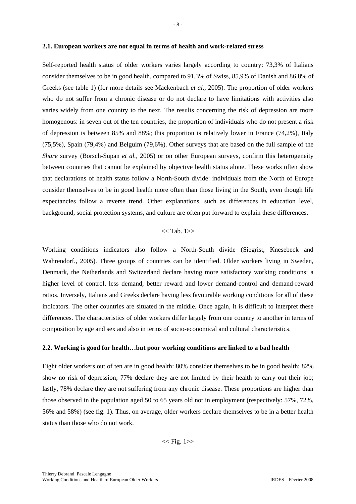#### **2.1. European workers are not equal in terms of health and work-related stress**

Self-reported health status of older workers varies largely according to country: 73,3% of Italians consider themselves to be in good health, compared to 91,3% of Swiss, 85,9% of Danish and 86,8% of Greeks (see table 1) (for more details see Mackenbach *et al*., 2005). The proportion of older workers who do not suffer from a chronic disease or do not declare to have limitations with activities also varies widely from one country to the next. The results concerning the risk of depression are more homogenous: in seven out of the ten countries, the proportion of individuals who do not present a risk of depression is between 85% and 88%; this proportion is relatively lower in France (74,2%), Italy (75,5%), Spain (79,4%) and Belguim (79,6%). Other surveys that are based on the full sample of the *Share* survey (Borsch-Supan *et al.,* 2005) or on other European surveys, confirm this heterogeneity between countries that cannot be explained by objective health status alone. These works often show that declarations of health status follow a North-South divide: individuals from the North of Europe consider themselves to be in good health more often than those living in the South, even though life expectancies follow a reverse trend. Other explanations, such as differences in education level, background, social protection systems, and culture are often put forward to explain these differences.

## $<<$  Tab. 1>>

Working conditions indicators also follow a North-South divide (Siegrist, Knesebeck and Wahrendorf*.*, 2005). Three groups of countries can be identified. Older workers living in Sweden, Denmark, the Netherlands and Switzerland declare having more satisfactory working conditions: a higher level of control, less demand, better reward and lower demand-control and demand-reward ratios. Inversely, Italians and Greeks declare having less favourable working conditions for all of these indicators. The other countries are situated in the middle. Once again, it is difficult to interpret these differences. The characteristics of older workers differ largely from one country to another in terms of composition by age and sex and also in terms of socio-economical and cultural characteristics.

#### **2.2. Working is good for health…but poor working conditions are linked to a bad health**

Eight older workers out of ten are in good health: 80% consider themselves to be in good health; 82% show no risk of depression; 77% declare they are not limited by their health to carry out their job; lastly, 78% declare they are not suffering from any chronic disease. These proportions are higher than those observed in the population aged 50 to 65 years old not in employment (respectively: 57%, 72%, 56% and 58%) (see fig. 1). Thus, on average, older workers declare themselves to be in a better health status than those who do not work.

 $<<$  Fig. 1>>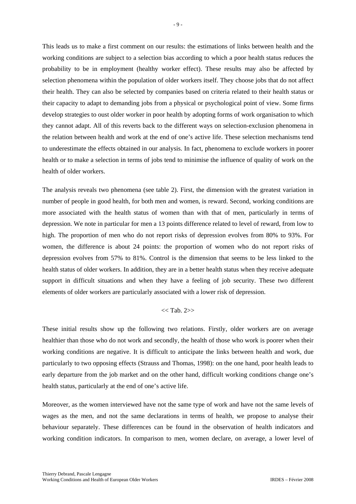This leads us to make a first comment on our results: the estimations of links between health and the working conditions are subject to a selection bias according to which a poor health status reduces the probability to be in employment (healthy worker effect). These results may also be affected by selection phenomena within the population of older workers itself. They choose jobs that do not affect their health. They can also be selected by companies based on criteria related to their health status or their capacity to adapt to demanding jobs from a physical or psychological point of view. Some firms develop strategies to oust older worker in poor health by adopting forms of work organisation to which they cannot adapt. All of this reverts back to the different ways on selection-exclusion phenomena in the relation between health and work at the end of one's active life. These selection mechanisms tend to underestimate the effects obtained in our analysis. In fact, phenomena to exclude workers in poorer health or to make a selection in terms of jobs tend to minimise the influence of quality of work on the health of older workers.

The analysis reveals two phenomena (see table 2). First, the dimension with the greatest variation in number of people in good health, for both men and women, is reward. Second, working conditions are more associated with the health status of women than with that of men, particularly in terms of depression. We note in particular for men a 13 points difference related to level of reward, from low to high. The proportion of men who do not report risks of depression evolves from 80% to 93%. For women, the difference is about 24 points: the proportion of women who do not report risks of depression evolves from 57% to 81%. Control is the dimension that seems to be less linked to the health status of older workers. In addition, they are in a better health status when they receive adequate support in difficult situations and when they have a feeling of job security. These two different elements of older workers are particularly associated with a lower risk of depression.

# $<<$  Tab. 2>>

These initial results show up the following two relations. Firstly, older workers are on average healthier than those who do not work and secondly, the health of those who work is poorer when their working conditions are negative. It is difficult to anticipate the links between health and work, due particularly to two opposing effects (Strauss and Thomas, 1998): on the one hand, poor health leads to early departure from the job market and on the other hand, difficult working conditions change one's health status, particularly at the end of one's active life.

Moreover, as the women interviewed have not the same type of work and have not the same levels of wages as the men, and not the same declarations in terms of health, we propose to analyse their behaviour separately. These differences can be found in the observation of health indicators and working condition indicators. In comparison to men, women declare, on average, a lower level of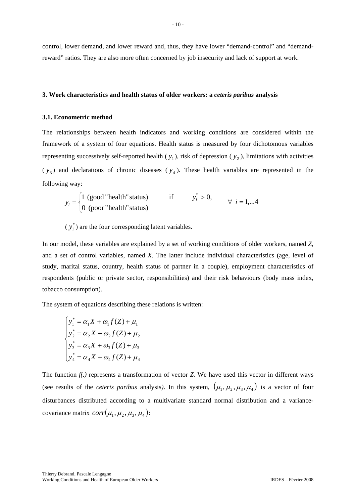control, lower demand, and lower reward and, thus, they have lower "demand-control" and "demandreward" ratios. They are also more often concerned by job insecurity and lack of support at work.

 $-10-$ 

#### **3. Work characteristics and health status of older workers: a** *ceteris paribus* **analysis**

#### **3.1. Econometric method**

The relationships between health indicators and working conditions are considered within the framework of a system of four equations. Health status is measured by four dichotomous variables representing successively self-reported health  $(y_1)$ , risk of depression  $(y_2)$ , limitations with activities  $(y_3)$  and declarations of chronic diseases  $(y_4)$ . These health variables are represented in the following way:

$$
y_i = \begin{cases} 1 \text{ (good "health" status)} & \text{if} \\ 0 \text{ (poor "health" status)} & \text{if} \end{cases} \qquad y_i^* > 0, \qquad \forall i = 1,...4
$$

 $(y_i^*)$  are the four corresponding latent variables.

In our model, these variables are explained by a set of working conditions of older workers, named *Z*, and a set of control variables, named *X*. The latter include individual characteristics (age, level of study, marital status, country, health status of partner in a couple), employment characteristics of respondents (public or private sector, responsibilities) and their risk behaviours (body mass index, tobacco consumption).

The system of equations describing these relations is written:

$$
\begin{cases}\ny_1^* = \alpha_1 X + \omega_1 f(Z) + \mu_1 \\
y_2^* = \alpha_2 X + \omega_2 f(Z) + \mu_2 \\
y_3^* = \alpha_3 X + \omega_3 f(Z) + \mu_3 \\
y_4^* = \alpha_4 X + \omega_4 f(Z) + \mu_4\n\end{cases}
$$

The function *f(.)* represents a transformation of vector *Z.* We have used this vector in different ways (see results of the *ceteris paribus* analysis). In this system,  $(\mu_1, \mu_2, \mu_3, \mu_4)$  is a vector of four disturbances distributed according to a multivariate standard normal distribution and a variancecovariance matrix  $corr(\mu_1, \mu_2, \mu_3, \mu_4)$ :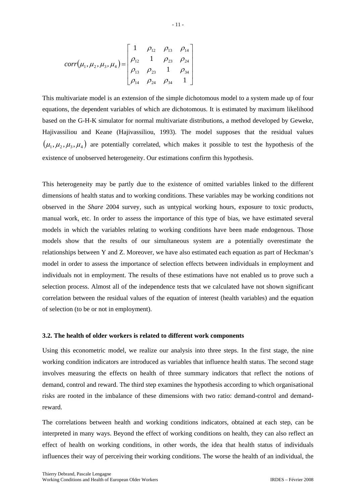$$
corr(\mu_1, \mu_2, \mu_3, \mu_4) = \begin{bmatrix} 1 & \rho_{12} & \rho_{13} & \rho_{14} \\ \rho_{12} & 1 & \rho_{23} & \rho_{24} \\ \rho_{13} & \rho_{23} & 1 & \rho_{34} \\ \rho_{14} & \rho_{24} & \rho_{34} & 1 \end{bmatrix}
$$

This multivariate model is an extension of the simple dichotomous model to a system made up of four equations, the dependent variables of which are dichotomous. It is estimated by maximum likelihood based on the G-H-K simulator for normal multivariate distributions, a method developed by Geweke, Hajivassiliou and Keane (Hajivassiliou, 1993). The model supposes that the residual values  $(\mu_1, \mu_2, \mu_3, \mu_4)$  are potentially correlated, which makes it possible to test the hypothesis of the existence of unobserved heterogeneity. Our estimations confirm this hypothesis.

This heterogeneity may be partly due to the existence of omitted variables linked to the different dimensions of health status and to working conditions. These variables may be working conditions not observed in the *Share* 2004 survey, such as untypical working hours, exposure to toxic products, manual work, etc. In order to assess the importance of this type of bias, we have estimated several models in which the variables relating to working conditions have been made endogenous. Those models show that the results of our simultaneous system are a potentially overestimate the relationships between Y and Z. Moreover, we have also estimated each equation as part of Heckman's model in order to assess the importance of selection effects between individuals in employment and individuals not in employment. The results of these estimations have not enabled us to prove such a selection process. Almost all of the independence tests that we calculated have not shown significant correlation between the residual values of the equation of interest (health variables) and the equation of selection (to be or not in employment).

#### **3.2. The health of older workers is related to different work components**

Using this econometric model, we realize our analysis into three steps. In the first stage, the nine working condition indicators are introduced as variables that influence health status. The second stage involves measuring the effects on health of three summary indicators that reflect the notions of demand, control and reward. The third step examines the hypothesis according to which organisational risks are rooted in the imbalance of these dimensions with two ratio: demand-control and demandreward.

The correlations between health and working conditions indicators, obtained at each step, can be interpreted in many ways. Beyond the effect of working conditions on health, they can also reflect an effect of health on working conditions, in other words, the idea that health status of individuals influences their way of perceiving their working conditions. The worse the health of an individual, the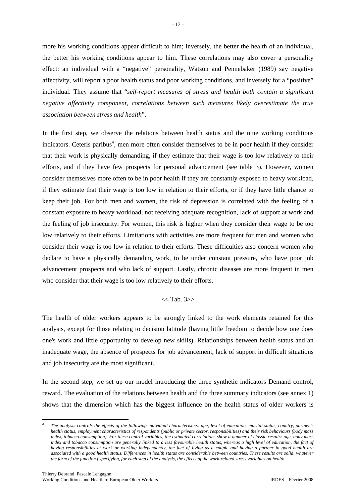more his working conditions appear difficult to him; inversely, the better the health of an individual, the better his working conditions appear to him. These correlations may also cover a personality effect: an individual with a "negative" personality, Watson and Pennebaker (1989) say negative affectivity, will report a poor health status and poor working conditions, and inversely for a "positive" individual. They assume that "*self-report measures of stress and health both contain a significant negative affectivity component, correlations between such measures likely overestimate the true association between stress and health*".

In the first step, we observe the relations between health status and the nine working conditions indicators. Ceteris paribus<sup>4</sup>, men more often consider themselves to be in poor health if they consider that their work is physically demanding, if they estimate that their wage is too low relatively to their efforts, and if they have few prospects for personal advancement (see table 3). However, women consider themselves more often to be in poor health if they are constantly exposed to heavy workload, if they estimate that their wage is too low in relation to their efforts, or if they have little chance to keep their job. For both men and women, the risk of depression is correlated with the feeling of a constant exposure to heavy workload, not receiving adequate recognition, lack of support at work and the feeling of job insecurity. For women, this risk is higher when they consider their wage to be too low relatively to their efforts. Limitations with activities are more frequent for men and women who consider their wage is too low in relation to their efforts. These difficulties also concern women who declare to have a physically demanding work, to be under constant pressure, who have poor job advancement prospects and who lack of support. Lastly, chronic diseases are more frequent in men who consider that their wage is too low relatively to their efforts.

# $<<$  Tab. 3>>

The health of older workers appears to be strongly linked to the work elements retained for this analysis, except for those relating to decision latitude (having little freedom to decide how one does one's work and little opportunity to develop new skills). Relationships between health status and an inadequate wage, the absence of prospects for job advancement, lack of support in difficult situations and job insecurity are the most significant.

In the second step, we set up our model introducing the three synthetic indicators Demand control, reward. The evaluation of the relations between health and the three summary indicators (see annex 1) shows that the dimension which has the biggest influence on the health status of older workers is

1

*<sup>4</sup> The analysis controls the effects of the following individual characteristics: age, level of education, marital status, country, partner's health status, employment characteristics of respondents (public or private sector, responsibilities) and their risk behaviours (body mass index, tobacco consumption). For these control variables, the estimated correlations show a number of classic results: age, body mass*  index and tobacco consumption are generally linked to a less favourable health status, whereas a high level of education, the fact of *having responsibilities at work or working independently, the fact of living as a couple and having a partner in good health are associated with a good health status. Differences in health status are considerable between countries. These results are solid, whatever the form of the function f specifying, for each step of the analysis, the effects of the work-related stress variables on health.*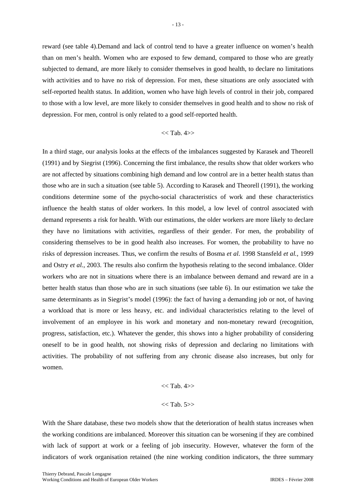reward (see table 4).Demand and lack of control tend to have a greater influence on women's health than on men's health. Women who are exposed to few demand, compared to those who are greatly subjected to demand, are more likely to consider themselves in good health, to declare no limitations with activities and to have no risk of depression. For men, these situations are only associated with self-reported health status. In addition, women who have high levels of control in their job, compared to those with a low level, are more likely to consider themselves in good health and to show no risk of depression. For men, control is only related to a good self-reported health.

#### $<<$  Tab. 4>>

In a third stage, our analysis looks at the effects of the imbalances suggested by Karasek and Theorell (1991) and by Siegrist (1996). Concerning the first imbalance, the results show that older workers who are not affected by situations combining high demand and low control are in a better health status than those who are in such a situation (see table 5). According to Karasek and Theorell (1991), the working conditions determine some of the psycho-social characteristics of work and these characteristics influence the health status of older workers. In this model, a low level of control associated with demand represents a risk for health. With our estimations, the older workers are more likely to declare they have no limitations with activities, regardless of their gender. For men, the probability of considering themselves to be in good health also increases. For women, the probability to have no risks of depression increases. Thus, we confirm the results of Bosma *et al*. 1998 Stansfeld *et al.,* 1999 and Ostry *et al.*, 2003. The results also confirm the hypothesis relating to the second imbalance. Older workers who are not in situations where there is an imbalance between demand and reward are in a better health status than those who are in such situations (see table 6). In our estimation we take the same determinants as in Siegrist's model (1996): the fact of having a demanding job or not, of having a workload that is more or less heavy, etc. and individual characteristics relating to the level of involvement of an employee in his work and monetary and non-monetary reward (recognition, progress, satisfaction, etc.). Whatever the gender, this shows into a higher probability of considering oneself to be in good health, not showing risks of depression and declaring no limitations with activities. The probability of not suffering from any chronic disease also increases, but only for women.

# $<<$  Tab. 4>>  $<<$  Tab. 5>>

With the Share database, these two models show that the deterioration of health status increases when the working conditions are imbalanced. Moreover this situation can be worsening if they are combined with lack of support at work or a feeling of job insecurity. However, whatever the form of the indicators of work organisation retained (the nine working condition indicators, the three summary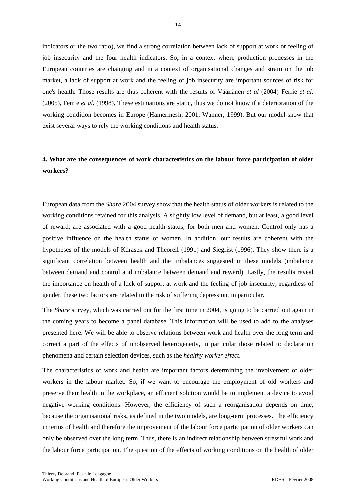indicators or the two ratio), we find a strong correlation between lack of support at work or feeling of job insecurity and the four health indicators. So, in a context where production processes in the European countries are changing and in a context of organisational changes and strain on the job market, a lack of support at work and the feeling of job insecurity are important sources of risk for one's health. Those results are thus coherent with the results of Väänänen *et al* (2004) Ferrie *et al.* (2005), Ferrie *et al.* (1998). These estimations are static, thus we do not know if a deterioration of the working condition becomes in Europe (Hamermesh, 2001; Wanner, 1999). But our model show that exist several ways to rely the working conditions and health status.

# **4. What are the consequences of work characteristics on the labour force participation of older workers?**

European data from the *Share* 2004 survey show that the health status of older workers is related to the working conditions retained for this analysis. A slightly low level of demand, but at least, a good level of reward, are associated with a good health status, for both men and women. Control only has a positive influence on the health status of women. In addition, our results are coherent with the hypotheses of the models of Karasek and Theorell (1991) and Siegrist (1996). They show there is a significant correlation between health and the imbalances suggested in these models (imbalance between demand and control and imbalance between demand and reward). Lastly, the results reveal the importance on health of a lack of support at work and the feeling of job insecurity; regardless of gender, these two factors are related to the risk of suffering depression, in particular.

The *Share* survey, which was carried out for the first time in 2004, is going to be carried out again in the coming years to become a panel database. This information will be used to add to the analyses presented here. We will be able to observe relations between work and health over the long term and correct a part of the effects of unobserved heterogeneity, in particular those related to declaration phenomena and certain selection devices, such as the *healthy worker effect*.

The characteristics of work and health are important factors determining the involvement of older workers in the labour market. So, if we want to encourage the employment of old workers and preserve their health in the workplace, an efficient solution would be to implement a device to avoid negative working conditions. However, the efficiency of such a reorganisation depends on time, because the organisational risks, as defined in the two models, are long-term processes. The efficiency in terms of health and therefore the improvement of the labour force participation of older workers can only be observed over the long term. Thus, there is an indirect relationship between stressful work and the labour force participation. The question of the effects of working conditions on the health of older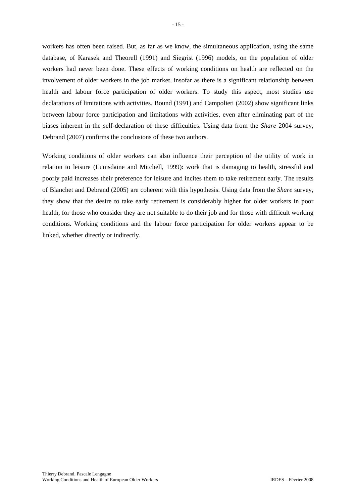workers has often been raised. But, as far as we know, the simultaneous application, using the same database, of Karasek and Theorell (1991) and Siegrist (1996) models, on the population of older workers had never been done. These effects of working conditions on health are reflected on the involvement of older workers in the job market, insofar as there is a significant relationship between health and labour force participation of older workers. To study this aspect, most studies use declarations of limitations with activities. Bound (1991) and Campolieti (2002) show significant links between labour force participation and limitations with activities, even after eliminating part of the biases inherent in the self-declaration of these difficulties. Using data from the *Share* 2004 survey, Debrand (2007) confirms the conclusions of these two authors.

Working conditions of older workers can also influence their perception of the utility of work in relation to leisure (Lumsdaine and Mitchell, 1999): work that is damaging to health, stressful and poorly paid increases their preference for leisure and incites them to take retirement early. The results of Blanchet and Debrand (2005) are coherent with this hypothesis. Using data from the *Share* survey, they show that the desire to take early retirement is considerably higher for older workers in poor health, for those who consider they are not suitable to do their job and for those with difficult working conditions. Working conditions and the labour force participation for older workers appear to be linked, whether directly or indirectly.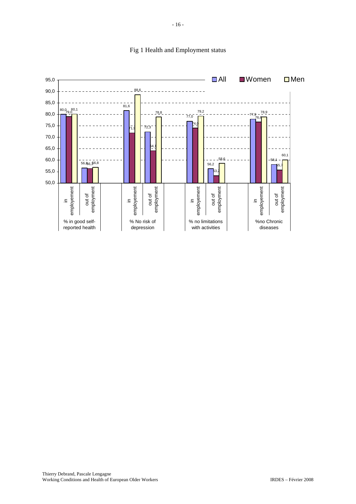

# Fig 1 Health and Employment status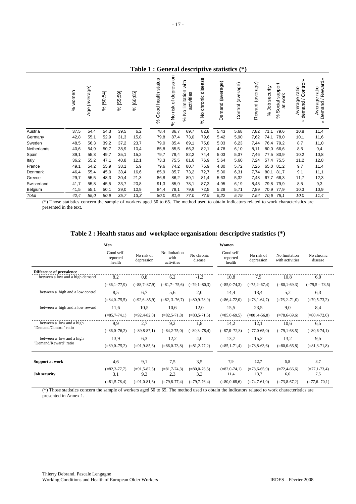# **Table 1 : General descriptive statistics (\*)**

|             | women<br>ૂંર | (average)<br>Age | [50;54]<br>$\aleph$ | 59<br>5<br><u>یہ</u><br>℅ | [60; 65]<br>℅ | status<br>Good health<br>$\%$ | depression<br>৳<br>risk<br>% No∣ | with<br>limitation<br>activities<br>ş<br>ى<br>ج | disease<br>chronic<br>ş<br>ಸಿ | Demand (average) | (average)<br>Control | (average)<br>Reward | security<br>gr<br>℅ | iupport<br>work<br>w<br>$\overline{\sigma}$<br>ö<br>So<br>ಕ<br>$\%$ | Control»<br>ratio<br>eb<br>$d$ emand /<br>Avera<br>₹ | Reward»<br>ratio<br>Average<br>Demand<br>४ |
|-------------|--------------|------------------|---------------------|---------------------------|---------------|-------------------------------|----------------------------------|-------------------------------------------------|-------------------------------|------------------|----------------------|---------------------|---------------------|---------------------------------------------------------------------|------------------------------------------------------|--------------------------------------------|
| Austria     | 37,5         | 54,4             | 54,3                | 39,5                      | 6,2           | 78,4                          | 86,7                             | 69,7                                            | 82,8                          | 5,43             | 5,68                 | 7,82                | 71,1                | 79,6                                                                | 10,8                                                 | 11,4                                       |
| Germany     | 42,8         | 55,1             | 52,9                | 31,3                      | 15,8          | 79,8                          | 87,4                             | 73,0                                            | 79,6                          | 5,42             | 5,90                 | 7,62                | 74,1                | 78,0                                                                | 10,1                                                 | 11,6                                       |
| Sweden      | 48,5         | 56,3             | 39,2                | 37,2                      | 23,7          | 79,0                          | 85,4                             | 69,1                                            | 75,8                          | 5,03             | 6,23                 | 7,44                | 76,4                | 79,2                                                                | 8,7                                                  | 11,0                                       |
| Netherlands | 40,6         | 54,9             | 50,7                | 38,9                      | 10,4          | 85,8                          | 85,5                             | 66,3                                            | 82,1                          | 4,78             | 6,10                 | 8,11                | 80,0                | 66,6                                                                | 8,5                                                  | 9,4                                        |
| Spain       | 39,1         | 55,3             | 49,7                | 35,1                      | 15,2          | 79,7                          | 79,4                             | 82,2                                            | 74,4                          | 5,03             | 5,37                 | 7,46                | 77,5                | 83,9                                                                | 10,2                                                 | 10,8                                       |
| Italy       | 36,2         | 55,2             | 47,1                | 40,8                      | 12,1          | 73,3                          | 75,5                             | 81,6                                            | 76,9                          | 5,64             | 5,60                 | 7,24                | 57,4                | 75,5                                                                | 11,2                                                 | 12,8                                       |
| France      | 49,1         | 54,2             | 55,9                | 38,1                      | 5,9           | 79,6                          | 74,2                             | 80,7                                            | 75,9                          | 4,80             | 5,72                 | 7,26                | 65,0                | 81,2                                                                | 9,7                                                  | 11,4                                       |
| Denmark     | 46,4         | 55,4             | 45,0                | 38,4                      | 16,6          | 85,9                          | 85,7                             | 73,2                                            | 72,7                          | 5,30             | 6,31                 | 7,74                | 80,1                | 81,7                                                                | 9,1                                                  | 11,1                                       |
| Greece      | 29,7         | 55,5             | 48,3                | 30,4                      | 21,3          | 86,8                          | 86,2                             | 89,1                                            | 81,4                          | 5,63             | 5,32                 | 7,48                | 67,7                | 66,3                                                                | 11,7                                                 | 12,3                                       |
| Switzerland | 41,7         | 55,8             | 45,5                | 33,7                      | 20,8          | 91,3                          | 85,9                             | 78,1                                            | 87,3                          | 4,95             | 6,19                 | 8,43                | 79,8                | 79,9                                                                | 8,5                                                  | 9,3                                        |
| Belgium     | 41,5         | 55,1             | 50,1                | 39,0                      | 10,9          | 84,4                          | 78,1                             | 79,6                                            | 72,5                          | 5,28             | 5,71                 | 7,89                | 70,9                | 77,9                                                                | 10,3                                                 | 10,9                                       |
| Total       | 42,4         | 55.0             | 50,9                | 35,7                      | 13,3          | 80,0                          | 81,6                             | 77,0                                            | 77,9                          | 5,22             | 5,79                 | 7,54                | 70,6                | 78.1                                                                | 10,0                                                 | 11,4                                       |

(\*) Those statistics concern the sample of workers aged 50 to 65. The method used to obtain indicators related to work characteristics are presented in the text.

## **Table 2 : Health status and workplace organisation: descriptive statistics (\*)**

|                                  | Men                              |                          |                                     |                         | Women                            |                          |                                  |                         |
|----------------------------------|----------------------------------|--------------------------|-------------------------------------|-------------------------|----------------------------------|--------------------------|----------------------------------|-------------------------|
|                                  | Good self-<br>reported<br>health | No risk of<br>depression | No limitation<br>with<br>activities | No chronic<br>disease   | Good self-<br>reported<br>health | No risk of<br>depression | No limitation<br>with activities | No chronic<br>disease   |
| <b>Difference of prevalence</b>  |                                  |                          |                                     |                         |                                  |                          |                                  |                         |
| between a low and a high demand  | 8,2                              | 0,8                      | 6,2                                 | $-1,2$                  | 10.8                             | 7,9                      | 10,8                             | 6,0                     |
|                                  | $( =86, 1 - 77, 9)$              | $( = 88, 7 - 87, 9)$     | $( = 81, 7 - 75, 6)$                | $(=79,1-80,3)$          | $( = 85, 0 - 74, 3)$             | $(=75, 2-67, 4)$         | $( = 80, 1 - 69, 3)$             | $(=79.5 - 73.5)$        |
| between a high and a low control | 8.5                              | 6.7                      | 5,6                                 | 2.0                     | 14,4                             | 13,4                     | 5,2                              | 6,3                     |
|                                  | $(=84,0-75,5)$                   | $(=92, 6 - 85, 9)$       | $( = 82, 3 - 76, 7)$                | $(=80, 9-78, 9)$        | $(=86, 4-72, 0)$                 | $(=78, 1-64, 7)$         | $(=76,2-71,0)$                   | $(=79, 5-73, 2)$        |
| between a high and a low reward  | 11,6                             | 10,5                     | 10.6                                | 12,0                    | 15,5                             | 23,5                     | 9,0                              | 8,4                     |
|                                  | $( = 85, 7 - 74, 1)$             | $(=92, 4-82, 0)$         | $( = 82, 5 - 71, 8)$                | $( = 83, 5 - 71, 5)$    | $( = 85, 0.69, 5)$               | $(=80, 4-56, 8)$         | $(=78, 6-69, 6)$                 | $(=80, 4-72, 0)$        |
| between a low and a high         | 9,9                              | 2.7                      | 9,2                                 | 1.8                     | 14,2                             | 12,1                     | 10.6                             | 6.5                     |
| "Demand/Control" ratio           | $( = 86, 0 - 76, 2)$             | $( = 89, 8 - 87, 1)$     | $( = 84, 2 - 75, 0)$                | $(=80,3-78,4)$          | $(=87, 0 - 72, 8)$               | $(=77, 0.65, 0)$         | $(=79,1-68,5)$                   | $(=80, 6-74, 1)$        |
| between a low and a high         | 13.9                             | 6,3                      | 12,2                                | 4,0                     | 13,7                             | 15,2                     | 13,2                             | 9,5                     |
| "Demand/Reward" ratio            | $(=89, 0 - 75, 2)$               | $(=91.9-85.6)$           | $( = 86, 0 - 73, 8)$                | $( = 81, 2 - 77, 2)$    | $( = 85, 1 - 71, 4)$             | $(=78, 8-63, 6)$         | $(=80, 0.66, 8)$                 | $( = 81, 3 - 71, 8)$    |
|                                  |                                  |                          |                                     |                         |                                  |                          |                                  |                         |
| Support at work                  | 4,6                              | 9,1                      | 7,5                                 | 3.5                     | 7,9                              | 12,7                     | 5,8                              | 3,7                     |
| <b>Job security</b>              | $( = 82, 3 - 77, 7)$<br>3,1      | $(=91, 5-82, 5)$<br>9,3  | $( = 81.7 - 74.3)$<br>2,3           | $(=80, 0.76, 5)$<br>3.3 | $(=82, 0-74, 1)$<br>11,4         | $(=78, 6-65, 9)$<br>13,7 | $(=72, 4-66, 6)$<br>6,6          | $(=77, 1-73, 4)$<br>7.5 |
|                                  | $( = 81, 5 - 78, 4)$             | $(=91, 0-81, 6)$         | $(=79, 8-77, 4)$                    | $(=79,7-76,4)$          | $(=80, 0.68, 6)$                 | $(=74,7-61,0)$           | $(=73, 8-67, 2)$                 | $(=77.6-70.1)$          |

(\*) Those statistics concern the sample of workers aged 50 to 65. The method used to obtain the indicators related to work characteristics are presented in Annex 1.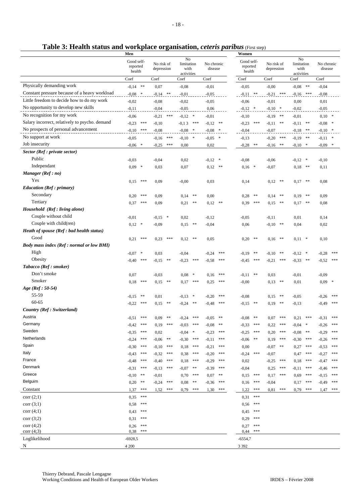| Table 3: Health status and workplace organisation, ceteris paribus (First step) |  |  |  |
|---------------------------------------------------------------------------------|--|--|--|
|                                                                                 |  |  |  |

|                                                | Men                              |           |                          |               |                                        |            |                       |            |                                  | Women      |                          |            |                                        |            |                       |         |
|------------------------------------------------|----------------------------------|-----------|--------------------------|---------------|----------------------------------------|------------|-----------------------|------------|----------------------------------|------------|--------------------------|------------|----------------------------------------|------------|-----------------------|---------|
|                                                | Good self-<br>reported<br>health |           | No risk of<br>depression |               | No<br>limitation<br>with<br>activities |            | No chronic<br>disease |            | Good self-<br>reported<br>health |            | No risk of<br>depression |            | No<br>limitation<br>with<br>activities |            | No chronic<br>disease |         |
|                                                | Coef                             |           | Coef                     |               | Coef                                   |            | Coef                  |            | Coef                             |            | Coef                     |            | Coef                                   |            | Coef                  |         |
| Physically demanding work                      | $-0.14$ **                       |           | 0,07                     |               | $-0,08$                                |            | $-0,01$               |            | $-0,05$                          |            | $-0,00$                  |            | $-0.08$ **                             |            | $-0,04$               |         |
| Constant pressure because of a heavy workload  | $-0.08$ *                        |           | $-0.14$ **               |               | $-0,01$                                |            | $-0,05$               |            | $-0.11$ **                       |            | $-0,21$ ***              |            | $-0,16$ ***                            |            | $-0,08$               |         |
| Little freedom to decide how to do my work     | $-0,02$                          |           | $-0,08$                  |               | $-0,02$                                |            | $-0,05$               |            | $-0,06$                          |            | $-0,01$                  |            | 0,00                                   |            | 0,01                  |         |
| No opportunity to develop new skills           | $-0,11$                          |           | $-0,04$                  |               | $-0,05$                                |            | 0,06                  |            | $-0,12$ *                        |            | $-0,10$ *                |            | $-0,02$                                |            | $-0,05$               |         |
| No recognition for my work                     | $-0,06$                          |           | $-0,21$                  | $***$         | $-0,12$ *                              |            | $-0,01$               |            | $-0,10$                          |            | $-0,19$                  | $\ast\ast$ | $-0,01$                                |            | $0,10$ *              |         |
| Salary incorrect, relatively to psycho. demand | $-0,23$                          | $* * *$   | $-0,10$                  |               | $-0,13$                                | ***        | $-0,12$               | $\ast\ast$ | $-0,23$                          | ***        | $-0,11$                  | **         | $-0,11$                                | **         | $-0.08$ *             |         |
| No prospects of personal advancement           | $-0,10$ ***                      |           | $-0,08$                  |               | $-0.08$ *                              |            | $-0.08$ *             |            | $-0,04$                          |            | $-0,07$                  |            | $-0,18$ **                             |            | $-0,10$ *             |         |
| No support at work                             | $-0,05$                          |           | $-0,16$                  | $***$         | $-0,10$                                | $\ast$     | $-0,05$               | $\ast$     | $-0,13$                          |            | $-0,20$                  | $***$      | $-0,19$                                | $\ast\ast$ | $-0,11$ *             |         |
| Job insecurity                                 | $-0,06$                          | $\ast$    | $-0,25$                  | ***           | 0,00                                   |            | 0,02                  |            | $-0,28$                          | $\ast\ast$ | $-0,16$                  | $* *$      | $-0,10$                                | $\ast$     | $-0,09$               | $\ast$  |
| Sector (Ref : private sector)                  |                                  |           |                          |               |                                        |            |                       |            |                                  |            |                          |            |                                        |            |                       |         |
| Public                                         | $-0,03$                          |           | $-0,04$                  |               | 0,02                                   |            | $-0,12$               | $\ast$     | $-0,08$                          |            | $-0,06$                  |            | $-0,12$                                | $\ast$     | $-0,10$               |         |
| Independant                                    | 0,09                             | $\ast$    | 0,03                     |               | 0,07                                   |            | 0,12                  | **         | $0,16$ *                         |            | $-0,07$                  |            | 0,18                                   | **         | 0,11                  |         |
| Manager (Ref: no)                              |                                  |           |                          |               |                                        |            |                       |            |                                  |            |                          |            |                                        |            |                       |         |
| Yes                                            | 0,15                             | ***       | 0,09                     |               | $-0,00$                                |            | 0,03                  |            | 0,14                             |            | 0,12                     | $**$       | 0,17                                   | **         | 0,08                  |         |
| Education (Ref: primary)                       |                                  |           |                          |               |                                        |            |                       |            |                                  |            |                          |            |                                        |            |                       |         |
| Secondary                                      | 0,20                             | ***       | 0,09                     |               | 0,14                                   | **         | 0,00                  |            | 0,28                             | **         | 0,14                     | $**$       | 0,19                                   | $**$       | 0,09                  |         |
| Tertiary                                       | 0,37                             | ***       | 0,09                     |               | 0,21                                   | **         | 0,12                  | **         | 0,39                             | ***        | 0,15                     | $**$       | 0,17                                   | $**$       | 0,08                  |         |
| Household (Ref: living alone)                  |                                  |           |                          |               |                                        |            |                       |            |                                  |            |                          |            |                                        |            |                       |         |
| Couple without child                           | $-0,01$                          |           | $-0,15$                  | $\ast$        | 0,02                                   |            | $-0,12$               |            | $-0,05$                          |            | $-0,11$                  |            | 0,01                                   |            | 0,14                  |         |
| Couple with child(ren)                         | 0,12                             | $\ast$    | $-0,09$                  |               | 0,15                                   | $\ast\ast$ | $-0,04$               |            | 0,06                             |            | $-0,10$                  | $**$       | 0,04                                   |            | 0,02                  |         |
| Heath of spouse (Ref: bad health status)       |                                  |           |                          |               |                                        |            |                       |            |                                  |            |                          |            |                                        |            |                       |         |
| Good                                           | 0,21                             | ***       | 0,23                     | ***           | 0,12                                   | $\ast\ast$ | 0,05                  |            | 0,20                             | $\ast\ast$ | 0,16                     | $**$       | $0,11$ *                               |            | 0,10                  |         |
| Body mass index (Ref : normal or low BMI)      |                                  |           |                          |               |                                        |            |                       |            |                                  |            |                          |            |                                        |            |                       |         |
| High                                           | $-0,07$                          | $\,$ $\,$ | 0,03                     |               | $-0,04$                                |            | $-0,24$               | ***        | $-0,19$                          | **         | $-0,10$                  | $**$       | $-0,12$                                | $\ast$     | $-0,28$               | ***     |
| Obesity                                        | $-0,40$                          | ***       | $-0,15$                  | **            | $-0,23$                                | ***        | $-0,58$               | ***        | $-0,45$                          | ***        | $-0,21$                  | ***        | $-0,33$                                | **         | $-0,52$               | ***     |
| Tabacco (Ref: smoker)                          |                                  |           |                          |               |                                        |            |                       |            |                                  |            |                          |            |                                        |            |                       |         |
| Don't smoke                                    | 0,07                             |           | $-0,03$                  |               | 0,08                                   | $\ast$     | 0,16                  | ***        | $-0,11$                          | $**$       | 0,03                     |            | $-0,01$                                |            | $-0,09$               |         |
| Smoker                                         | 0,18                             | ***       | 0,15                     | **            | 0,17                                   | ***        | 0,25                  | ***        | $-0,00$                          |            | 0,13                     | $**$       | 0,01                                   |            | $0,09$ *              |         |
| $Age (Ref: 50-54)$                             |                                  |           |                          |               |                                        |            |                       |            |                                  |            |                          |            |                                        |            |                       |         |
| 55-59<br>60-65                                 | $-0,15$                          | **        | 0,01                     |               | $-0,13$                                | $\ast$     | $-0,20$               | ***        | $-0,08$                          |            | 0,15                     | $**$       | $-0,05$                                |            | $-0,26$               | ***     |
| Country (Ref: Switzerland)                     | $-0,22$                          | ***       | 0,15                     | $**$          | $-0,24$                                | $**$       | $-0,48$               | ***        | $-0,15$                          | **         | 0,19                     | $**$       | $-0,13$                                |            | $-0,49$               | ***     |
| Austria                                        |                                  | ***       |                          | $\ast$ $\ast$ |                                        | ***        |                       |            |                                  | **         |                          | ***        |                                        | ***        |                       | ***     |
| Germany                                        | $-0,51$                          | ***       | 0.09                     | ***           | $-0,24$                                | ***        | $-0,05$               | **<br>**   | $-0.08$                          | ***        | 0,07                     | ***        | 0,21                                   |            | $-0,31$               | $***$   |
| Sweden                                         | $-0,42$<br>$-0,35$               | ***       | 0,19<br>0,02             |               | $-0,03$<br>$-0,04$                     | $\ast$     | $-0,08$<br>$-0,23$    | ***        | $-0,33$<br>$-0,25$               | ***        | 0,22<br>0,20             | ***        | $-0,04$ *<br>$-0.08$                   | $* *$      | $-0,26$<br>$-0,29$    | $* * *$ |
| Netherlands                                    | $-0,24$                          | ***       | $-0,06$                  | **            | $-0,30$                                | $* * *$    | $-0,11$               | ***        | $-0,06$                          | $**$       | 0,19                     | ***        | $-0,30$                                | ***        | $-0,26$               | $***$   |
| Spain                                          | $-0,30$                          | ***       | $-0,10$                  | ***           | 0,18                                   | ***        | $-0,21$               | ***        | 0,00                             |            | $-0,07$                  | $**$       | 0,27                                   | ***        | $-0,53$               | $***$   |
| Italy                                          | $-0,43$                          | ***       | $-0,32$                  | ***           | 0,38                                   | ***        | $-0,20$               | ***        | $-0,24$                          | ***        | $-0,07$                  |            | 0,47                                   | ***        | $-0,27$               | $***$   |
| France                                         | $-0,48$                          | ***       | $-0,40$                  | ***           | 0,18                                   | ***        | $-0,29$               | ***        | 0,02                             |            | $-0,25$                  | ***        | 0,18                                   | ***        | $-0,47$               | $***$   |
| Denmark                                        | $-0,31$                          | ***       | $-0,13$                  | ***           | $-0,07$                                | **         | $-0.39$               | ***        | $-0,04$                          |            | 0,25                     | ***        | $-0,11$                                | ***        | $-0,46$               | $***$   |
| Greece                                         | $-0,10$                          | **        | $-0,01$                  |               | 0,70                                   | ***        | 0,07                  | $***$      | 0,15                             | ***        | 0,17                     | ***        | 0,69                                   | ***        | $-0,15$               | $* * *$ |
| Belguim                                        | 0,20                             | **        | $-0,24$                  | $***$         | 0,08                                   | $**$       | $-0,36$               | ***        | 0,16                             | ***        | $-0,04$                  |            | 0,17                                   | ***        | $-0,49$               | $***$   |
| Constant                                       | 1,37                             | ***       | 1,52                     | ***           | 0,79                                   | ***        | 1,30                  | ***        | 1,22                             | ***        | 0,81                     | ***        | 0,79                                   | ***        | 1,47                  | ***     |
| corr(2;1)                                      | 0,35                             | $* * *$   |                          |               |                                        |            |                       |            | 0,31                             | $* * *$    |                          |            |                                        |            |                       |         |
| corr(3;1)                                      | 0,58                             | $* * *$   |                          |               |                                        |            |                       |            | 0,56                             | $***$      |                          |            |                                        |            |                       |         |
| corr(4;1)                                      | 0,43                             | ***       |                          |               |                                        |            |                       |            | 0,45                             | $* * *$    |                          |            |                                        |            |                       |         |
| corr(3;2)                                      | 0,31                             | ***       |                          |               |                                        |            |                       |            | 0,29                             | $* * *$    |                          |            |                                        |            |                       |         |
| corr(4;2)                                      | 0,26                             | $* * *$   |                          |               |                                        |            |                       |            | 0,27                             | $***$      |                          |            |                                        |            |                       |         |
| corr(4,3)                                      | 0,38                             | ***       |                          |               |                                        |            |                       |            | 0,44                             | ***        |                          |            |                                        |            |                       |         |
| Loglikelihood                                  | $-6928,5$                        |           |                          |               |                                        |            |                       |            | $-6554,7$                        |            |                          |            |                                        |            |                       |         |
| N                                              | 4 200                            |           |                          |               |                                        |            |                       |            | 3 3 9 2                          |            |                          |            |                                        |            |                       |         |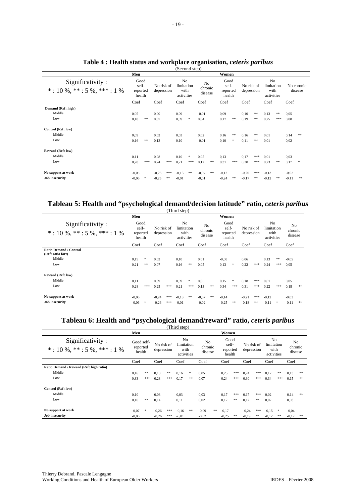|                                                        | Men                                 |        |                          |     |                                                    |        |                                      | Women |                                     |       |                          |     |                                                    |       |         |                       |  |  |
|--------------------------------------------------------|-------------------------------------|--------|--------------------------|-----|----------------------------------------------------|--------|--------------------------------------|-------|-------------------------------------|-------|--------------------------|-----|----------------------------------------------------|-------|---------|-----------------------|--|--|
| Significativity:<br>$*: 10\%$ , $**: 5\%$ , $***: 1\%$ | Good<br>self-<br>reported<br>health |        | No risk of<br>depression |     | N <sub>o</sub><br>limitation<br>with<br>activities |        | N <sub>o</sub><br>chronic<br>disease |       | Good<br>self-<br>reported<br>health |       | No risk of<br>depression |     | N <sub>o</sub><br>limitation<br>with<br>activities |       |         | No chronic<br>disease |  |  |
|                                                        | Coef                                |        | Coef                     |     | Coef                                               |        | Coef                                 |       | Coef                                |       | Coef                     |     | Coef                                               |       | Coef    |                       |  |  |
| Demand (Ref: high)                                     |                                     |        |                          |     |                                                    |        |                                      |       |                                     |       |                          |     |                                                    |       |         |                       |  |  |
| Middle                                                 | 0,05                                |        | 0,00                     |     | 0,09                                               |        | $-0.01$                              |       | 0,09                                |       | 0,10                     | **  | 0.13                                               | $* *$ | 0,05    |                       |  |  |
| Low                                                    | 0,18                                | $* *$  | 0,07                     |     | 0,09                                               | $\ast$ | 0,04                                 |       | 0,17                                | **    | 0,19                     | **  | 0.25                                               | ***   | 0,08    |                       |  |  |
| Control (Ref: low)                                     |                                     |        |                          |     |                                                    |        |                                      |       |                                     |       |                          |     |                                                    |       |         |                       |  |  |
| Middle                                                 | 0,09                                |        | 0,02                     |     | 0.03                                               |        | 0,02                                 |       | 0,16                                | $* *$ | 0,16                     | **  | 0,01                                               |       | 0,14    | **                    |  |  |
| Low                                                    | 0,16                                | $* *$  | 0.13                     |     | 0.10                                               |        | $-0.01$                              |       | 0,10                                | *     | 0,11                     | **  | 0.01                                               |       | 0.02    |                       |  |  |
| Reward (Ref: low)                                      |                                     |        |                          |     |                                                    |        |                                      |       |                                     |       |                          |     |                                                    |       |         |                       |  |  |
| Middle                                                 | 0.11                                |        | 0,08                     |     | 0,10                                               | *      | 0,05                                 |       | 0,13                                |       | 0,17                     | *** | 0,01                                               |       | 0,03    |                       |  |  |
| Low                                                    | 0,28                                | ***    | 0,24                     | *** | 0,21                                               | ***    | 0,12                                 | **    | 0,31                                | ***   | 0,30                     | *** | 0.23                                               | **    | 0,17    | $\ast$                |  |  |
| No support at work                                     | $-0.05$                             |        | $-0.23$                  | *** | $-0,13$                                            | $**$   | $-0.07$                              | **    | $-0.12$                             |       | $-0,20$                  | *** | $-0,13$                                            |       | $-0.02$ |                       |  |  |
| <b>Job insecurity</b>                                  | $-0.06$                             | $\ast$ | $-0.25$                  | **  | $-0,01$                                            |        | $-0.01$                              |       | $-0,24$                             | **    | $-0,17$                  | **  | $-0,12$                                            | **    | $-0.11$ | **                    |  |  |

#### **Table 4 : Health status and workplace organisation,** *ceteris paribus* (Second step)

#### **Tableau 5: Health and "psychological demand/decision latitude" ratio,** *ceteris paribus* (Third step)

|                                                                     |                                     | Women   |                          |     |                                                    |          |                          |    |                                     |               |                          |            |                                                    |           |                                      |    |
|---------------------------------------------------------------------|-------------------------------------|---------|--------------------------|-----|----------------------------------------------------|----------|--------------------------|----|-------------------------------------|---------------|--------------------------|------------|----------------------------------------------------|-----------|--------------------------------------|----|
| Significativity:<br>$*: 10\%$ , $**: 5\%$ , $***: 1\%$              | Good<br>self-<br>reported<br>health |         | No risk of<br>depression |     | N <sub>o</sub><br>limitation<br>with<br>activities |          | No<br>chronic<br>disease |    | Good<br>self-<br>reported<br>health |               | No risk of<br>depression |            | N <sub>o</sub><br>limitation<br>with<br>activities |           | N <sub>o</sub><br>chronic<br>disease |    |
|                                                                     | Coef                                |         | Coef                     |     | Coef                                               |          | Coef                     |    | Coef                                |               | Coef                     |            | Coef                                               |           | Coef                                 |    |
| <b>Ratio Demand / Control</b><br>(Ref: ratio fort)<br>Middle<br>Low | 0.15<br>0,21                        | *<br>** | 0.02<br>0,07             |     | 0,10<br>0,16                                       | **       | 0,01<br>0,05             |    | $-0.08$<br>0,13                     | *             | 0.06<br>0,22             | ***        | 0,13<br>0.24                                       | **<br>*** | $-0.05$<br>0,05                      |    |
| Reward (Ref: low)                                                   |                                     |         |                          |     |                                                    |          |                          |    |                                     |               |                          |            |                                                    |           |                                      |    |
| Middle<br>Low                                                       | 0,11<br>0,28                        | ***     | 0.09<br>0,25             | *** | 0.09<br>0,21                                       | *<br>*** | 0,05<br>0,13             | ** | 0,15<br>0,34                        | $\ast$<br>*** | 0,18<br>0,31             | ***<br>*** | 0,01<br>0,22                                       | ***       | 0,05<br>0,18                         | ** |
| No support at work                                                  | $-0.06$                             |         | $-0,24$                  | *** | $-0,13$                                            | **       | $-0.07$                  | ** | $-0.14$                             |               | $-0,21$                  | ***        | $-0,12$                                            |           | $-0.03$                              |    |
| <b>Job insecurity</b>                                               | $-0.06$                             | $\ast$  | $-0.26$                  | *** | $-0.01$                                            |          | $-0,02$                  |    | $-0.25$                             | **            | $-0.18$                  | **         | $-0,11$                                            | *         | $-0.11$                              | ** |

# **Tableau 6: Health and "psychological demand/reward" ratio,** *ceteris paribus*

|                                                        |                                  |        |                          |       | (Third step)                                       |      |         |                                      |         |                                     |         |                          |         |                                        |                                      |    |
|--------------------------------------------------------|----------------------------------|--------|--------------------------|-------|----------------------------------------------------|------|---------|--------------------------------------|---------|-------------------------------------|---------|--------------------------|---------|----------------------------------------|--------------------------------------|----|
|                                                        | Men                              |        |                          |       |                                                    |      |         |                                      |         |                                     |         |                          |         |                                        |                                      |    |
| Significativity:<br>$*: 10\%$ , $**: 5\%$ , $***: 1\%$ | Good self-<br>reported<br>health |        | No risk of<br>depression |       | N <sub>0</sub><br>limitation<br>with<br>activities |      |         | N <sub>o</sub><br>chronic<br>disease |         | Good<br>self-<br>reported<br>health |         | No risk of<br>depression |         | No<br>limitation<br>with<br>activities | N <sub>0</sub><br>chronic<br>disease |    |
|                                                        | Coef                             |        | Coef                     |       | Coef                                               | Coef |         |                                      | Coef    |                                     | Coef    |                          | Coef    |                                        | Coef                                 |    |
| Ratio Demand / Reward (Ref: high ratio)                |                                  |        |                          |       |                                                    |      |         |                                      |         |                                     |         |                          |         |                                        |                                      |    |
| Middle                                                 | 0,16                             | **     | 0,13                     | $***$ | 0,16                                               | *    | 0.05    |                                      | 0,25    | ***                                 | 0,24    | ***                      | 0,17    | **                                     | 0,13                                 | ** |
| Low                                                    | 0,33                             | ***    | 0,23                     | ***   | 0,17                                               | **   | 0,07    |                                      | 0,24    | ***                                 | 0,30    | ***                      | 0,34    | ***                                    | 0,15                                 | ** |
| Control (Ref: low)                                     |                                  |        |                          |       |                                                    |      |         |                                      |         |                                     |         |                          |         |                                        |                                      |    |
| Middle                                                 | 0,10                             |        | 0,03                     |       | 0.03                                               |      | 0,03    |                                      | 0,17    | ***                                 | 0,17    | ***                      | 0.02    |                                        | 0,14                                 | ** |
| Low                                                    | 0,16                             | **     | 0,14                     |       | 0,11                                               |      | 0,02    |                                      | 0,12    | **                                  | 0,12    | **                       | 0,02    |                                        | 0.03                                 |    |
| No support at work                                     | $-0.07$                          | $\ast$ | $-0,26$                  | ***   | $-0,16$                                            | **   | $-0.09$ | **                                   | $-0,17$ |                                     | $-0.24$ | ***                      | $-0,15$ | *                                      | $-0.04$                              |    |
| <b>Job insecurity</b>                                  | $-0.06$                          |        | $-0.26$                  | ***   | $-0.01$                                            |      | $-0.02$ |                                      | $-0.25$ | **                                  | $-0.19$ | **                       | $-0,12$ | **                                     | $-0,12$                              | ** |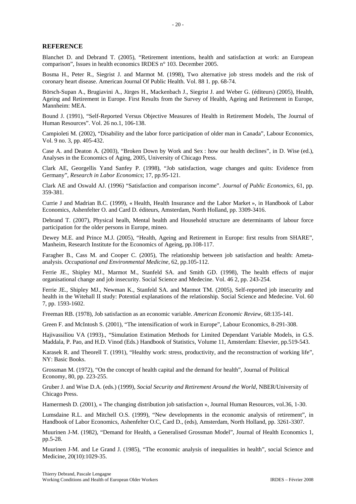#### **REFERENCE**

Blanchet D. and Debrand T. (2005), "Retirement intentions, health and satisfaction at work: an European comparison", Issues in health economics IRDES n° 103. December 2005.

Bosma H., Peter R., Siegrist J. and Marmot M. (1998), Two alternative job stress models and the risk of coronary heart disease. American Journal Of Public Health. Vol. 88 1. pp. 68-74.

Börsch-Supan A., Brugiavini A., Jürges H., Mackenbach J., Siegrist J. and Weber G. (éditeurs) (2005), Health, Ageing and Retirement in Europe. First Results from the Survey of Health, Ageing and Retirement in Europe, Mannheim: MEA.

Bound J. (1991), "Self-Reported Versus Objective Measures of Health in Retirement Models, The Journal of Human Resources". Vol. 26 no.1, 106-138.

Campioleti M. (2002), "Disability and the labor force participation of older man in Canada", Labour Economics, Vol. 9 no. 3, pp. 405-432.

Case A. and Deaton A. (2003), "Broken Down by Work and Sex : how our health declines", in D. Wise (ed.), Analyses in the Economics of Aging, 2005, University of Chicago Press.

Clark AE, Georgellis Yand Sanfey P. (1998), "Job satisfaction, wage changes and quits: Evidence from Germany", *Research in Labor Economics*; 17, pp.95-121.

Clark AE and Oswald AJ. (1996) "Satisfaction and comparison income". *Journal of Public Economics,* 61, pp. 359-381.

Currie J and Madrian B.C. (1999), « Health, Health Insurance and the Labor Market », in Handbook of Labor Economics, Ashenfelter O. and Card D. éditeurs, Amsterdam, North Holland, pp. 3309-3416.

Debrand T. (2007), Physical healh, Mental health and Household structure are determinants of labour force participation for the older persons in Europe, mineo.

Dewey M.E. and Prince M.J. (2005), "Health, Ageing and Retirement in Europe: first results from SHARE", Manheim, Research Institute for the Economics of Ageing, pp.108-117.

Faragher B., Cass M. and Cooper C. (2005), The relationship between job satisfaction and health: Ametaanalysis. *Occupational and Environmental Medicine,* 62, pp.105-112.

Ferrie JE., Shipley MJ., Marmot M., Stanfeld SA. and Smith GD. (1998), The health effects of major organisational change and job insecurity. Social Science and Medecine. Vol. 46 2, pp. 243-254.

Ferrie JE., Shipley MJ., Newman K., Stanfeld SA. and Marmot TM. (2005), Self-reported job insecurity and health in the Witehall II study: Potential explanations of the relationship. Social Science and Medecine. Vol. 60 7, pp. 1593-1602.

Freeman RB. (1978), Job satisfaction as an economic variable. *American Economic Review,* 68:135-141.

Green F. and McIntosh S. (2001), "The intensification of work in Europe", Labour Economics, 8-291-308.

Hajivassiliou VA (1993)., "Simulation Estimation Methods for Limited Dependant Variable Models, in G.S. Maddala, P. Pao, and H.D. Vinod (Eds.) Handbook of Statistics, Volume 11, Amsterdam: Elsevier, pp.519-543.

Karasek R. and Theorell T. (1991), "Healthy work: stress, productivity, and the reconstruction of working life", NY: Basic Books.

Grossman M. (1972), "On the concept of health capital and the demand for health", Journal of Political Economy, 80, pp. 223-255.

Gruber J. and Wise D.A. (eds.) (1999), *Social Security and Retirement Around the World*, NBER/University of Chicago Press.

Hamermesh D. (2001), « The changing distribution job satisfaction », Journal Human Resources, vol.36, 1-30.

Lumsdaine R.L. and Mitchell O.S. (1999), "New developments in the economic analysis of retirement", in Handbook of Labor Economics, Ashenfelter O.C, Card D., (eds), Amsterdam, North Holland, pp. 3261-3307.

Muurinen J-M. (1982), "Demand for Health, a Generalised Grossman Model", Journal of Health Economics 1, pp.5-28.

Muurinen J-M. and Le Grand J. (1985), "The economic analysis of inequalities in health", social Science and Medicine, 20(10):1029-35.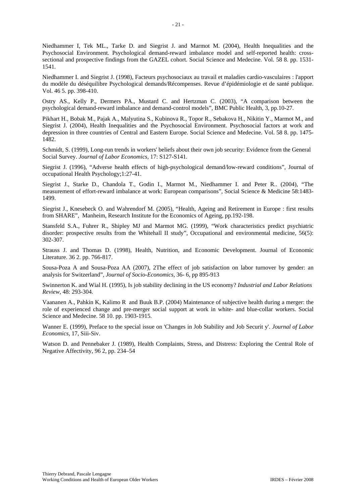Niedhammer I, Tek ML., Tarke D. and Siegrist J. and Marmot M. (2004), Health Inequalities and the Psychosocial Environment. Psychological demand-reward imbalance model and self-reported health: crosssectional and prospective findings from the GAZEL cohort. Social Science and Medecine. Vol. 58 8. pp. 1531- 1541.

Niedhammer I. and Siegrist J. (1998), Facteurs psychosociaux au travail et maladies cardio-vasculaires : l'apport du modèle du déséquilibre Psychological demands/Récompenses. Revue d'épidémiologie et de santé publique. Vol. 46 5. pp. 398-410.

Ostry AS., Kelly P., Dermers PA., Mustard C. and Hertzman C. (2003), "A comparison between the psychological demand-reward imbalance and demand-control models", BMC Public Health, 3, pp.10-27.

Pikhart H., Bobak M., Pajak A., Malyutina S., Kubinova R., Topor R., Sebakova H., Nikitin Y., Marmot M., and Siegrist J. (2004), Health Inequalities and the Psychosocial Environment. Psychosocial factors at work and depression in three countries of Central and Eastern Europe. Social Science and Medecine. Vol. 58 8. pp. 1475- 1482.

Schmidt, S. (1999), Long-run trends in workers' beliefs about their own job security: Evidence from the General Social Survey. *Journal of Labor Economics,* 17: S127-S141.

Siegrist J. (1996), "Adverse health effects of high-psychological demand/low-reward conditions", Journal of occupational Health Psychology;1:27-41.

Siegrist J., Starke D., Chandola T., Godin I., Marmot M., Niedhammer I. and Peter R.. (2004), "The measurement of effort-reward imbalance at work: European comparisons", Social Science & Medicine 58:1483- 1499.

Siegrist J., Knesebeck O. and Wahrendorf M. (2005), "Health, Ageing and Retirement in Europe : first results from SHARE", Manheim, Research Institute for the Economics of Ageing, pp.192-198.

Stansfeld S.A., Fuhrer R., Shipley MJ and Marmot MG. (1999), "Work characteristics predict psychiatric disorder: prospective results from the Whitehall II study", Occupational and environmental medicine, 56(5): 302-307.

Strauss J. and Thomas D. (1998), Health, Nutrition, and Economic Development. Journal of Economic Literature. 36 2. pp. 766-817.

Sousa-Poza A and Sousa-Poza AA (2007), 2The effect of job satisfaction on labor turnover by gender: an analysis for Switzerland", *Journal of Socio-Economics*, 36- 6, pp 895-913

Swinnerton K. and Wial H. (1995), Is job stability declining in the US economy? *Industrial and Labor Relations Review*, 48: 293-304.

Vaananen A., Pahkin K, Kalimo R and Buuk B.P. (2004) Maintenance of subjective health during a merger: the role of experienced change and pre-merger social support at work in white- and blue-collar workers. Social Science and Medecine. 58 10. pp. 1903-1915.

Wanner E. (1999), Preface to the special issue on 'Changes in Job Stability and Job Securit y'. *Journal of Labor Economics*, 17, Siii-Siv.

Watson D. and Pennebaker J. (1989), Health Complaints, Stress, and Distress: Exploring the Central Role of Negative Affectivity, 96 2, pp. 234–54